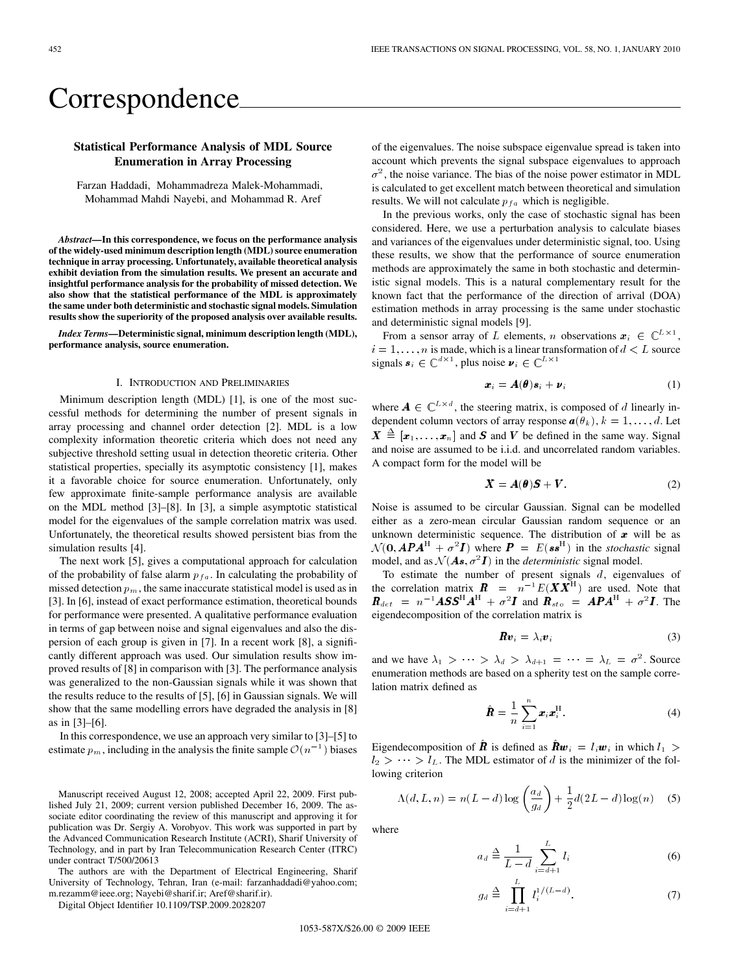# Correspondence

# **Statistical Performance Analysis of MDL Source Enumeration in Array Processing**

Farzan Haddadi, Mohammadreza Malek-Mohammadi, Mohammad Mahdi Nayebi, and Mohammad R. Aref

*Abstract—***In this correspondence, we focus on the performance analysis of the widely-used minimum description length (MDL) source enumeration technique in array processing. Unfortunately, available theoretical analysis exhibit deviation from the simulation results. We present an accurate and insightful performance analysis for the probability of missed detection. We also show that the statistical performance of the MDL is approximately the same under both deterministic and stochastic signal models. Simulation results show the superiority of the proposed analysis over available results.**

*Index Terms—***Deterministic signal, minimum description length (MDL), performance analysis, source enumeration.**

## I. INTRODUCTION AND PRELIMINARIES

Minimum description length (MDL) [1], is one of the most successful methods for determining the number of present signals in array processing and channel order detection [2]. MDL is a low complexity information theoretic criteria which does not need any subjective threshold setting usual in detection theoretic criteria. Other statistical properties, specially its asymptotic consistency [1], makes it a favorable choice for source enumeration. Unfortunately, only few approximate finite-sample performance analysis are available on the MDL method [3]–[8]. In [3], a simple asymptotic statistical model for the eigenvalues of the sample correlation matrix was used. Unfortunately, the theoretical results showed persistent bias from the simulation results [4].

The next work [5], gives a computational approach for calculation of the probability of false alarm  $p_{fa}$ . In calculating the probability of missed detection  $p_m$ , the same inaccurate statistical model is used as in [3]. In [6], instead of exact performance estimation, theoretical bounds for performance were presented. A qualitative performance evaluation in terms of gap between noise and signal eigenvalues and also the dispersion of each group is given in [7]. In a recent work [8], a significantly different approach was used. Our simulation results show improved results of [8] in comparison with [3]. The performance analysis was generalized to the non-Gaussian signals while it was shown that the results reduce to the results of [5], [6] in Gaussian signals. We will show that the same modelling errors have degraded the analysis in [8] as in [3]–[6].

In this correspondence, we use an approach very similar to [3]–[5] to estimate  $p_m$ , including in the analysis the finite sample  $\mathcal{O}(n^{-1})$  biases

Manuscript received August 12, 2008; accepted April 22, 2009. First published July 21, 2009; current version published December 16, 2009. The associate editor coordinating the review of this manuscript and approving it for publication was Dr. Sergiy A. Vorobyov. This work was supported in part by the Advanced Communication Research Institute (ACRI), Sharif University of Technology, and in part by Iran Telecommunication Research Center (ITRC) under contract T/500/20613

The authors are with the Department of Electrical Engineering, Sharif University of Technology, Tehran, Iran (e-mail: farzanhaddadi@yahoo.com; m.rezamm@ieee.org; Nayebi@sharif.ir; Aref@sharif.ir).

Digital Object Identifier 10.1109/TSP.2009.2028207

of the eigenvalues. The noise subspace eigenvalue spread is taken into account which prevents the signal subspace eigenvalues to approach  $\sigma^2$ , the noise variance. The bias of the noise power estimator in MDL is calculated to get excellent match between theoretical and simulation results. We will not calculate  $p_{fa}$  which is negligible.

In the previous works, only the case of stochastic signal has been considered. Here, we use a perturbation analysis to calculate biases and variances of the eigenvalues under deterministic signal, too. Using these results, we show that the performance of source enumeration methods are approximately the same in both stochastic and deterministic signal models. This is a natural complementary result for the known fact that the performance of the direction of arrival (DOA) estimation methods in array processing is the same under stochastic and deterministic signal models [9].

From a sensor array of L elements, n observations  $x_i \in \mathbb{C}^{L \times 1}$ ,  $i = 1, \ldots, n$  is made, which is a linear transformation of  $d < L$  source signals  $\mathbf{s}_i \in \mathbb{C}^{d \times 1}$ , plus noise  $\mathbf{v}_i \in \mathbb{C}^{L \times 1}$ 

$$
\boldsymbol{x}_i = \boldsymbol{A}(\boldsymbol{\theta})\boldsymbol{s}_i + \boldsymbol{\nu}_i \tag{1}
$$

where  $A \in \mathbb{C}^{L \times d}$ , the steering matrix, is composed of d linearly independent column vectors of array response  $a(\theta_k)$ ,  $k = 1, \ldots, d$ . Let  $\boldsymbol{X} \triangleq [\boldsymbol{x}_1, \dots, \boldsymbol{x}_n]$  and  $\boldsymbol{S}$  and  $\boldsymbol{V}$  be defined in the same way. Signal and noise are assumed to be i.i.d. and uncorrelated random variables. A compact form for the model will be

$$
X = A(\theta)S + V. \tag{2}
$$

Noise is assumed to be circular Gaussian. Signal can be modelled either as a zero-mean circular Gaussian random sequence or an unknown deterministic sequence. The distribution of  $x$  will be as  $\mathcal{N}(\mathbf{0}, \mathbf{A}\mathbf{P}\mathbf{A}^{\mathrm{H}} + \sigma^2 \mathbf{I})$  where  $\mathbf{P} = E(\mathbf{s}\mathbf{s}^{\mathrm{H}})$  in the *stochastic* signal model, and as  $\mathcal{N}(\mathbf{A}\mathbf{s}, \sigma^2 \mathbf{I})$  in the *deterministic* signal model.

To estimate the number of present signals  $d$ , eigenvalues of the correlation matrix  $\mathbf{R} = \mathbf{n}^{-1} E(\mathbf{X} \mathbf{X}^{\text{H}})$  are used. Note that  $\boldsymbol{R}_{det}$  =  $n^{-1}A S S^{H} A^{H} + \sigma^2 \boldsymbol{I}$  and  $\boldsymbol{R}_{sto}$  =  $A \boldsymbol{P} A^{H} + \sigma^2 \boldsymbol{I}$ . The eigendecomposition of the correlation matrix is

$$
\boldsymbol{R}\boldsymbol{v}_i = \lambda_i \boldsymbol{v}_i \tag{3}
$$

and we have  $\lambda_1 > \cdots > \lambda_d > \lambda_{d+1} = \cdots = \lambda_L = \sigma^2$ . Source enumeration methods are based on a spherity test on the sample correlation matrix defined as

$$
\hat{\boldsymbol{R}} = \frac{1}{n} \sum_{i=1}^{n} \boldsymbol{x}_i \boldsymbol{x}_i^{\mathrm{H}}.
$$
\n(4)

Eigendecomposition of **R** is defined as  $\mathbf{R}w_i = l_i w_i$  in which  $l_1 >$  $l_2 > \cdots > l_L$ . The MDL estimator of d is the minimizer of the following criterion

$$
\Lambda(d, L, n) = n(L - d)\log\left(\frac{a_d}{g_d}\right) + \frac{1}{2}d(2L - d)\log(n) \quad (5)
$$

where

$$
a_d \triangleq \frac{1}{L - d} \sum_{i=d+1}^{L} l_i
$$
 (6)

$$
g_d \triangleq \prod_{i=d+1}^{L} l_i^{1/(L-d)}.
$$
 (7)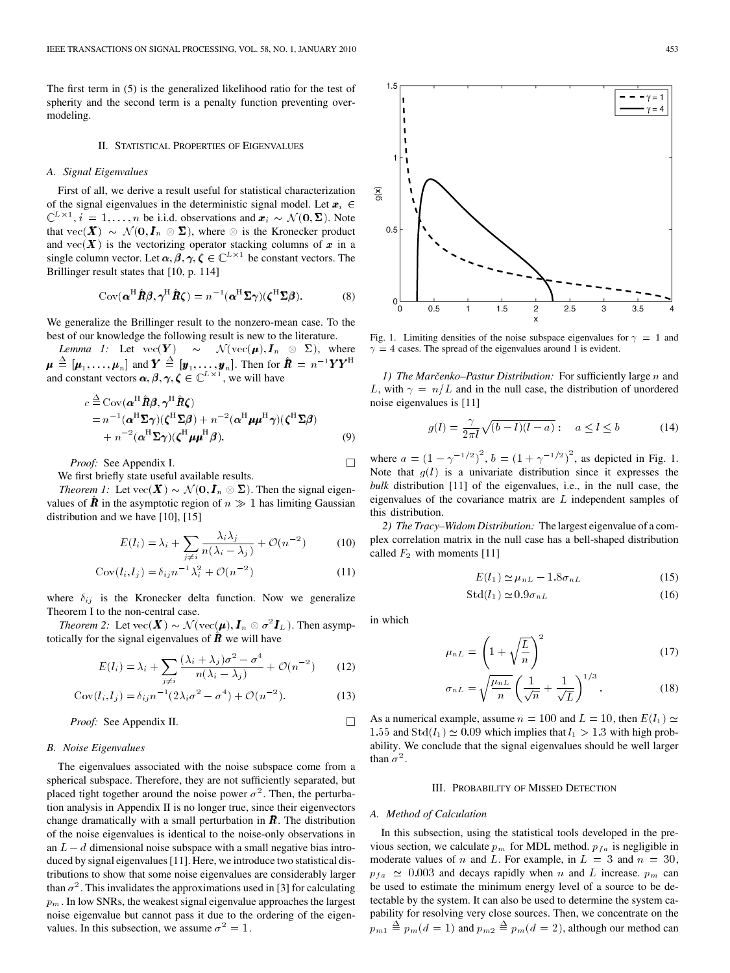The first term in (5) is the generalized likelihood ratio for the test of spherity and the second term is a penalty function preventing overmodeling.

## II. STATISTICAL PROPERTIES OF EIGENVALUES

#### *A. Signal Eigenvalues*

First of all, we derive a result useful for statistical characterization of the signal eigenvalues in the deterministic signal model. Let  $x_i \in$  $x_i$ ,  $i = 1, ..., n$  be i.i.d. observations and  $x_i \sim \mathcal{N}(0, \Sigma)$ . Note that  $\text{vec}(\mathbf{X}) \sim \mathcal{N}(\mathbf{0}, \mathbf{I}_n \otimes \mathbf{\Sigma})$ , where  $\otimes$  is the Kronecker product and  $\text{vec}(\bm{X})$  is the vectorizing operator stacking columns of  $\bm{x}$  in a single column vector. Let  $\alpha$ ,  $\beta$ ,  $\gamma$ ,  $\zeta \in \mathbb{C}^{L \times 1}$  be constant vectors. The Brillinger result states that [10, p. 114]

$$
Cov(\boldsymbol{\alpha}^{\mathrm{H}}\hat{\boldsymbol{R}}\boldsymbol{\beta},\boldsymbol{\gamma}^{\mathrm{H}}\hat{\boldsymbol{R}}\boldsymbol{\zeta})=n^{-1}(\boldsymbol{\alpha}^{\mathrm{H}}\boldsymbol{\Sigma}\boldsymbol{\gamma})(\boldsymbol{\zeta}^{\mathrm{H}}\boldsymbol{\Sigma}\boldsymbol{\beta}).
$$
 (8)

We generalize the Brillinger result to the nonzero-mean case. To the best of our knowledge the following result is new to the literature.

*Lemma 1:* Let  $\text{vec}(\bm{Y}) \sim \mathcal{N}(\text{vec}(\bm{\mu}), \bm{I}_n \otimes \bm{\Sigma}), \text{ where }$  $\mu \triangleq [\mu_1, \ldots, \mu_n]$  and  $Y \triangleq [\mathbf{y}_1, \ldots, \mathbf{y}_n]$ . Then for  $\hat{\mathbf{R}} = n^{-1} \mathbf{Y} Y^{\text{H}}$ and constant vectors  $\alpha$ ,  $\beta$ ,  $\gamma$ ,  $\zeta \in \mathbb{C}^{L \times 1}$ , we will have

$$
c \stackrel{\Delta}{=} \text{Cov}(\boldsymbol{\alpha}^{\text{H}} \hat{\boldsymbol{R}} \boldsymbol{\beta}, \boldsymbol{\gamma}^{\text{H}} \hat{\boldsymbol{R}} \boldsymbol{\zeta})
$$
  
=  $n^{-1}(\boldsymbol{\alpha}^{\text{H}} \boldsymbol{\Sigma} \boldsymbol{\gamma})(\boldsymbol{\zeta}^{\text{H}} \boldsymbol{\Sigma} \boldsymbol{\beta}) + n^{-2}(\boldsymbol{\alpha}^{\text{H}} \boldsymbol{\mu} \boldsymbol{\mu}^{\text{H}} \boldsymbol{\gamma})(\boldsymbol{\zeta}^{\text{H}} \boldsymbol{\Sigma} \boldsymbol{\beta})$   
+  $n^{-2}(\boldsymbol{\alpha}^{\text{H}} \boldsymbol{\Sigma} \boldsymbol{\gamma})(\boldsymbol{\zeta}^{\text{H}} \boldsymbol{\mu} \boldsymbol{\mu}^{\text{H}} \boldsymbol{\beta}).$  (9)

*Proof:* See Appendix I.

We first briefly state useful available results.

*Theorem 1:* Let  $\text{vec}(\bm{X}) \sim \mathcal{N}(\bm{0}, \bm{I}_n \otimes \bm{\Sigma})$ . Then the signal eigenvalues of  $\hat{\boldsymbol{R}}$  in the asymptotic region of  $n \gg 1$  has limiting Gaussian distribution and we have [10], [15]

$$
E(l_i) = \lambda_i + \sum_{j \neq i} \frac{\lambda_i \lambda_j}{n(\lambda_i - \lambda_j)} + \mathcal{O}(n^{-2})
$$
 (10)

$$
Cov(l_i, l_j) = \delta_{ij} n^{-1} \lambda_i^2 + \mathcal{O}(n^{-2})
$$
\n(11)

where  $\delta_{ij}$  is the Kronecker delta function. Now we generalize Theorem I to the non-central case.

*Theorem 2:* Let  $\mathrm{vec}(\bm{X}) \sim \mathcal{N}(\mathrm{vec}(\bm{\mu}), \bm{I}_n \otimes \sigma^2 \bm{I}_L)$ . Then asymptotically for the signal eigenvalues of  $\bm{R}$  we will have

$$
E(l_i) = \lambda_i + \sum_{j \neq i} \frac{(\lambda_i + \lambda_j)\sigma^2 - \sigma^4}{n(\lambda_i - \lambda_j)} + \mathcal{O}(n^{-2})
$$
 (12)

Cov
$$
(l_i, l_j) = \delta_{ij} n^{-1} (2\lambda_i \sigma^2 - \sigma^4) + \mathcal{O}(n^{-2}).
$$
 (13)

*Proof:* See Appendix II.

## *B. Noise Eigenvalues*

The eigenvalues associated with the noise subspace come from a spherical subspace. Therefore, they are not sufficiently separated, but placed tight together around the noise power  $\sigma^2$ . Then, the perturbation analysis in Appendix II is no longer true, since their eigenvectors change dramatically with a small perturbation in  $\bm{R}$ . The distribution of the noise eigenvalues is identical to the noise-only observations in an  $L - d$  dimensional noise subspace with a small negative bias introduced by signal eigenvalues [11]. Here, we introduce two statistical distributions to show that some noise eigenvalues are considerably larger than  $\sigma^2$ . This invalidates the approximations used in [3] for calculating  $p_m$ . In low SNRs, the weakest signal eigenvalue approaches the largest noise eigenvalue but cannot pass it due to the ordering of the eigenvalues. In this subsection, we assume  $\sigma^2 = 1$ .



*1) The Marčenko–Pastur Distribution:* For sufficiently large *n* and L, with  $\gamma = n/L$  and in the null case, the distribution of unordered noise eigenvalues is [11]

$$
g(l) = \frac{\gamma}{2\pi l} \sqrt{(b-l)(l-a)} : a \le l \le b \tag{14}
$$

where  $a = (1 - \gamma^{-1/2})^2$ ,  $b = (1 + \gamma^{-1/2})^2$ , as depicted in Fig. 1. Note that  $g(l)$  is a univariate distribution since it expresses the *bulk* distribution [11] of the eigenvalues, i.e., in the null case, the eigenvalues of the covariance matrix are  $L$  independent samples of this distribution.

*2) The Tracy–Widom Distribution:* The largest eigenvalue of a complex correlation matrix in the null case has a bell-shaped distribution called  $F_2$  with moments [11]

$$
E(l_1) \simeq \mu_{nL} - 1.8\sigma_{nL} \tag{15}
$$

$$
\text{Std}(l_1) \simeq 0.9 \sigma_{nL} \tag{16}
$$

in which

 $\Box$ 

 $\Box$ 

$$
\mu_{nL} = \left(1 + \sqrt{\frac{L}{n}}\right)^2 \tag{17}
$$

$$
\sigma_{nL} = \sqrt{\frac{\mu_{nL}}{n}} \left( \frac{1}{\sqrt{n}} + \frac{1}{\sqrt{L}} \right)^{1/3}.
$$
 (18)

As a numerical example, assume  $n = 100$  and  $L = 10$ , then  $E(l_1) \simeq$ 1.55 and  $\text{Std}(l_1) \simeq 0.09$  which implies that  $l_1 > 1.3$  with high probability. We conclude that the signal eigenvalues should be well larger than  $\sigma^2$ .

## III. PROBABILITY OF MISSED DETECTION

#### *A. Method of Calculation*

In this subsection, using the statistical tools developed in the previous section, we calculate  $p_m$  for MDL method.  $p_{fa}$  is negligible in moderate values of *n* and L. For example, in  $L = 3$  and  $n = 30$ ,  $p_{fa} \approx 0.003$  and decays rapidly when *n* and *L* increase.  $p_m$  can be used to estimate the minimum energy level of a source to be detectable by the system. It can also be used to determine the system capability for resolving very close sources. Then, we concentrate on the  $p_{m1} \stackrel{\Delta}{=} p_m(d=1)$  and  $p_{m2} \stackrel{\Delta}{=} p_m(d=2)$ , although our method can

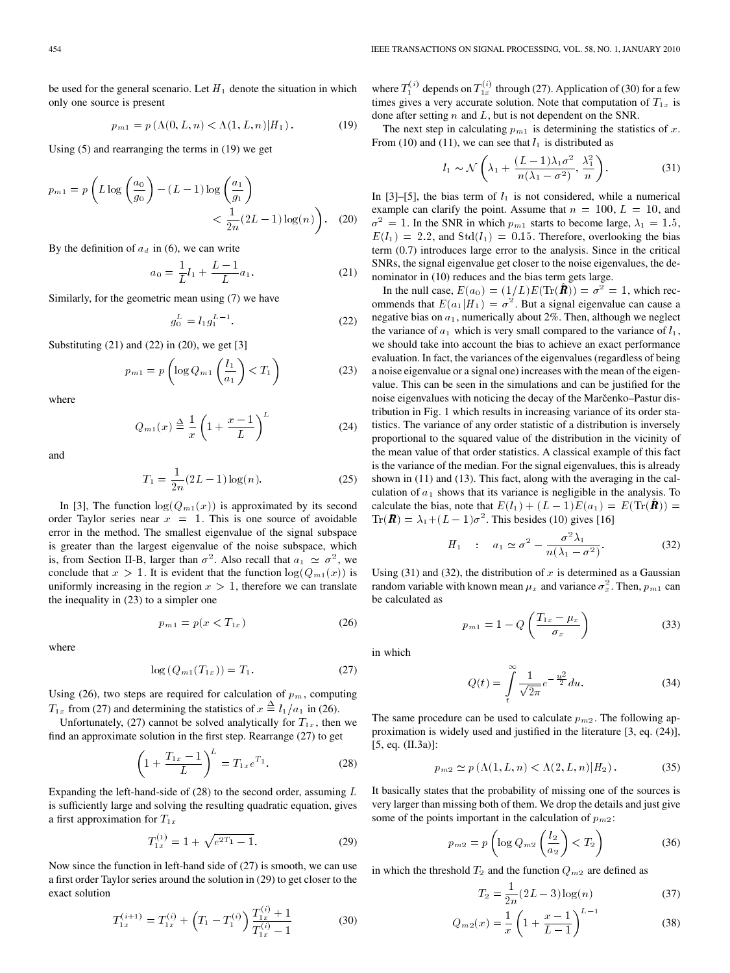be used for the general scenario. Let  $H_1$  denote the situation in which only one source is present

$$
p_{m1} = p(\Lambda(0, L, n) < \Lambda(1, L, n) | H_1). \tag{19}
$$

Using (5) and rearranging the terms in (19) we get

$$
p_{m1} = p\left(L\log\left(\frac{a_0}{g_0}\right) - (L-1)\log\left(\frac{a_1}{g_1}\right) \right) < \frac{1}{2n}(2L-1)\log(n)\right). \quad (20)
$$

By the definition of  $a_d$  in (6), we can write

$$
a_0 = \frac{1}{L}l_1 + \frac{L-1}{L}a_1.
$$
 (21)

Similarly, for the geometric mean using (7) we have

$$
g_0^L = l_1 g_1^{L-1}.
$$
 (22)

Substituting  $(21)$  and  $(22)$  in  $(20)$ , we get  $[3]$ 

$$
p_{m1} = p\left(\log Q_{m1}\left(\frac{l_1}{a_1}\right) < T_1\right) \tag{23}
$$

where

$$
Q_{m1}(x) \triangleq \frac{1}{x} \left( 1 + \frac{x-1}{L} \right)^L \tag{24}
$$

and

$$
T_1 = \frac{1}{2n}(2L - 1)\log(n).
$$
 (25)

In [3], The function  $\log(Q_{m1}(x))$  is approximated by its second order Taylor series near  $x = 1$ . This is one source of avoidable error in the method. The smallest eigenvalue of the signal subspace is greater than the largest eigenvalue of the noise subspace, which is, from Section II-B, larger than  $\sigma^2$ . Also recall that  $a_1 \simeq \sigma^2$ , we conclude that  $x > 1$ . It is evident that the function  $log(Q_{m1}(x))$  is uniformly increasing in the region  $x > 1$ , therefore we can translate the inequality in (23) to a simpler one

$$
p_{m1} = p(x < T_{1x})\tag{26}
$$

where

$$
\log (Q_{m1}(T_{1x})) = T_1. \tag{27}
$$

Using (26), two steps are required for calculation of  $p_m$ , computing  $T_{1x}$  from (27) and determining the statistics of  $x \triangleq l_1/a_1$  in (26).

Unfortunately, (27) cannot be solved analytically for  $T_{1x}$ , then we find an approximate solution in the first step. Rearrange (27) to get

$$
\left(1 + \frac{T_{1x} - 1}{L}\right)^L = T_{1x} e^{T_1}.
$$
 (28)

Expanding the left-hand-side of  $(28)$  to the second order, assuming  $L$ is sufficiently large and solving the resulting quadratic equation, gives a first approximation for  $T_{1x}$ 

$$
T_{1x}^{(1)} = 1 + \sqrt{e^{2T_1} - 1}.
$$
 (29)

Now since the function in left-hand side of (27) is smooth, we can use a first order Taylor series around the solution in (29) to get closer to the exact solution

$$
T_{1x}^{(i+1)} = T_{1x}^{(i)} + \left(T_1 - T_1^{(i)}\right) \frac{T_{1x}^{(i)} + 1}{T_{1x}^{(i)} - 1} \tag{30}
$$

where  $T_1^{(i)}$  depends on  $T_{1x}^{(i)}$  through (27). Application of (30) for a few times gives a very accurate solution. Note that computation of  $T_{1x}$  is done after setting  $n$  and  $L$ , but is not dependent on the SNR.

The next step in calculating  $p_{m1}$  is determining the statistics of x. From (10) and (11), we can see that  $l_1$  is distributed as

$$
l_1 \sim \mathcal{N}\left(\lambda_1 + \frac{(L-1)\lambda_1\sigma^2}{n(\lambda_1 - \sigma^2)}, \frac{\lambda_1^2}{n}\right). \tag{31}
$$

In [3]–[5], the bias term of  $l_1$  is not considered, while a numerical example can clarify the point. Assume that  $n = 100, L = 10$ , and  $\sigma^2 = 1$ . In the SNR in which  $p_{m1}$  starts to become large,  $\lambda_1 = 1.5$ ,  $E(l_1) = 2.2$ , and  $Std(l_1) = 0.15$ . Therefore, overlooking the bias term (0.7) introduces large error to the analysis. Since in the critical SNRs, the signal eigenvalue get closer to the noise eigenvalues, the denominator in (10) reduces and the bias term gets large.

In the null case,  $E(a_0) = (1/L)E(\text{Tr}(\hat{\boldsymbol{R}})) = \sigma^2 = 1$ , which recommends that  $E(a_1|H_1) = \sigma^2$ . But a signal eigenvalue can cause a negative bias on  $a_1$ , numerically about 2%. Then, although we neglect the variance of  $a_1$  which is very small compared to the variance of  $l_1$ , we should take into account the bias to achieve an exact performance evaluation. In fact, the variances of the eigenvalues (regardless of being a noise eigenvalue or a signal one) increases with the mean of the eigenvalue. This can be seen in the simulations and can be justified for the noise eigenvalues with noticing the decay of the Marčenko–Pastur distribution in Fig. 1 which results in increasing variance of its order statistics. The variance of any order statistic of a distribution is inversely proportional to the squared value of the distribution in the vicinity of the mean value of that order statistics. A classical example of this fact is the variance of the median. For the signal eigenvalues, this is already shown in (11) and (13). This fact, along with the averaging in the calculation of  $a_1$  shows that its variance is negligible in the analysis. To calculate the bias, note that  $E(l_1) + (L-1)E(a_1) = E(\text{Tr}(\hat{\boldsymbol{R}})) =$  $\operatorname{Tr}(\mathbf{R}) = \lambda_1 + (L - 1)\sigma^2$ . This besides (10) gives [16]

$$
H_1 : a_1 \simeq \sigma^2 - \frac{\sigma^2 \lambda_1}{n(\lambda_1 - \sigma^2)}.
$$
 (32)

Using (31) and (32), the distribution of  $x$  is determined as a Gaussian random variable with known mean  $\mu_x$  and variance  $\sigma_x^2$ . Then,  $p_{m1}$  can be calculated as

$$
p_{m1} = 1 - Q\left(\frac{T_{1x} - \mu_x}{\sigma_x}\right) \tag{33}
$$

in which

$$
Q(t) = \int_{t}^{\infty} \frac{1}{\sqrt{2\pi}} e^{-\frac{u^2}{2}} du.
$$
 (34)

The same procedure can be used to calculate  $p_{m2}$ . The following approximation is widely used and justified in the literature [3, eq. (24)], [5, eq. (II.3a)]:

$$
p_{m2} \simeq p\left(\Lambda(1, L, n) < \Lambda(2, L, n)|H_2\right). \tag{35}
$$

It basically states that the probability of missing one of the sources is very larger than missing both of them. We drop the details and just give some of the points important in the calculation of  $p_{m2}$ :

$$
p_{m2} = p\left(\log Q_{m2}\left(\frac{l_2}{a_2}\right) < T_2\right) \tag{36}
$$

in which the threshold  $T_2$  and the function  $Q_{m2}$  are defined as

$$
T_2 = \frac{1}{2n}(2L - 3)\log(n)
$$
 (37)

$$
Q_{m2}(x) = \frac{1}{x} \left( 1 + \frac{x-1}{L-1} \right)^{L-1}
$$
 (38)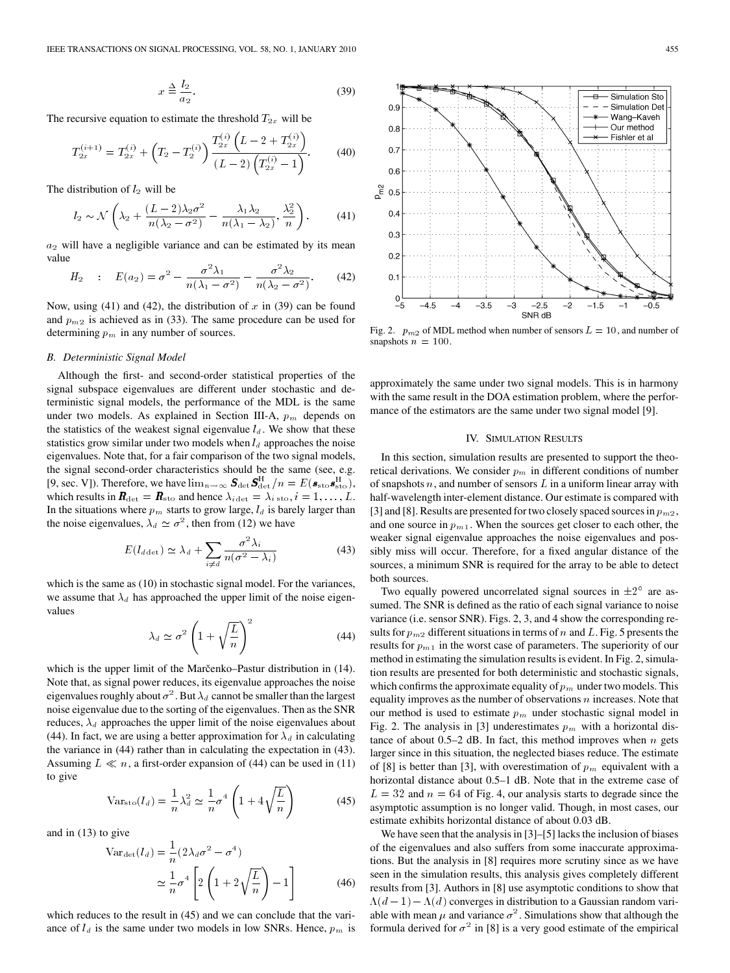$$
x \stackrel{\Delta}{=} \frac{l_2}{a_2}.\tag{39}
$$

The recursive equation to estimate the threshold  $T_{2x}$  will be

$$
T_{2x}^{(i+1)} = T_{2x}^{(i)} + \left(T_2 - T_2^{(i)}\right) \frac{T_{2x}^{(i)} \left(L - 2 + T_{2x}^{(i)}\right)}{\left(L - 2\right) \left(T_{2x}^{(i)} - 1\right)}.
$$
 (40)

The distribution of  $l_2$  will be

$$
l_2 \sim \mathcal{N}\left(\lambda_2 + \frac{(L-2)\lambda_2\sigma^2}{n(\lambda_2 - \sigma^2)} - \frac{\lambda_1\lambda_2}{n(\lambda_1 - \lambda_2)}, \frac{\lambda_2^2}{n}\right). \tag{41}
$$

 $a_2$  will have a negligible variance and can be estimated by its mean value

$$
H_2 : E(a_2) = \sigma^2 - \frac{\sigma^2 \lambda_1}{n(\lambda_1 - \sigma^2)} - \frac{\sigma^2 \lambda_2}{n(\lambda_2 - \sigma^2)}.
$$
 (42)

Now, using (41) and (42), the distribution of  $x$  in (39) can be found and  $p_{m2}$  is achieved as in (33). The same procedure can be used for determining  $p_m$  in any number of sources.

## *B. Deterministic Signal Model*

Although the first- and second-order statistical properties of the signal subspace eigenvalues are different under stochastic and deterministic signal models, the performance of the MDL is the same under two models. As explained in Section III-A,  $p_m$  depends on the statistics of the weakest signal eigenvalue  $l_d$ . We show that these statistics grow similar under two models when  $l_d$  approaches the noise eigenvalues. Note that, for a fair comparison of the two signal models, the signal second-order characteristics should be the same (see, e.g. [9, sec. V]). Therefore, we have  $\lim_{n\to\infty} S_{\det} S_{\det}^H/n = E(s_{\text{sto}} s_{\text{sto}}^H)$ , which results in  $\mathbf{R}_{\text{det}} = \mathbf{R}_{\text{sto}}$  and hence  $\lambda_{i \text{ det}} = \lambda_{i \text{ sto}}, i = 1, \dots, L$ . In the situations where  $p_m$  starts to grow large,  $l_d$  is barely larger than the noise eigenvalues,  $\lambda_d \simeq \sigma^2$ , then from (12) we have

$$
E(l_{d \det}) \simeq \lambda_d + \sum_{i \neq d} \frac{\sigma^2 \lambda_i}{n(\sigma^2 - \lambda_i)}
$$
(43)

which is the same as (10) in stochastic signal model. For the variances, we assume that  $\lambda_d$  has approached the upper limit of the noise eigenvalues

$$
\lambda_d \simeq \sigma^2 \left( 1 + \sqrt{\frac{L}{n}} \right)^2 \tag{44}
$$

which is the upper limit of the Marcenko–Pastur distribution in (14). Note that, as signal power reduces, its eigenvalue approaches the noise eigenvalues roughly about  $\sigma^2$ . But  $\lambda_d$  cannot be smaller than the largest noise eigenvalue due to the sorting of the eigenvalues. Then as the SNR reduces,  $\lambda_d$  approaches the upper limit of the noise eigenvalues about (44). In fact, we are using a better approximation for  $\lambda_d$  in calculating the variance in (44) rather than in calculating the expectation in (43). Assuming  $L \ll n$ , a first-order expansion of (44) can be used in (11) to give

$$
Var_{\text{sto}}(l_d) = \frac{1}{n} \lambda_d^2 \simeq \frac{1}{n} \sigma^4 \left( 1 + 4\sqrt{\frac{L}{n}} \right) \tag{45}
$$

and in (13) to give

$$
\operatorname{Var}_{\det}(l_d) = \frac{1}{n} (2\lambda_d \sigma^2 - \sigma^4)
$$

$$
\simeq \frac{1}{n} \sigma^4 \left[ 2\left(1 + 2\sqrt{\frac{L}{n}}\right) - 1 \right]
$$
(46)

which reduces to the result in  $(45)$  and we can conclude that the variance of  $l_d$  is the same under two models in low SNRs. Hence,  $p_m$  is



Fig. 2.  $p_{m2}$  of MDL method when number of sensors  $L = 10$ , and number of snapshots  $n = 100$ .

approximately the same under two signal models. This is in harmony with the same result in the DOA estimation problem, where the performance of the estimators are the same under two signal model [9].

## IV. SIMULATION RESULTS

In this section, simulation results are presented to support the theoretical derivations. We consider  $p_m$  in different conditions of number of snapshots  $n$ , and number of sensors  $L$  in a uniform linear array with half-wavelength inter-element distance. Our estimate is compared with [3] and [8]. Results are presented for two closely spaced sources in  $p_{m2}$ , and one source in  $p_{m1}$ . When the sources get closer to each other, the weaker signal eigenvalue approaches the noise eigenvalues and possibly miss will occur. Therefore, for a fixed angular distance of the sources, a minimum SNR is required for the array to be able to detect both sources.

Two equally powered uncorrelated signal sources in  $\pm 2^{\circ}$  are assumed. The SNR is defined as the ratio of each signal variance to noise variance (i.e. sensor SNR). Figs. 2, 3, and 4 show the corresponding results for  $p_{m2}$  different situations in terms of  $n$  and  $L$ . Fig. 5 presents the results for  $p_{m1}$  in the worst case of parameters. The superiority of our method in estimating the simulation results is evident. In Fig. 2, simulation results are presented for both deterministic and stochastic signals, which confirms the approximate equality of  $p_m$  under two models. This equality improves as the number of observations  $n$  increases. Note that our method is used to estimate  $p_m$  under stochastic signal model in Fig. 2. The analysis in [3] underestimates  $p_m$  with a horizontal distance of about 0.5–2 dB. In fact, this method improves when  $n$  gets larger since in this situation, the neglected biases reduce. The estimate of [8] is better than [3], with overestimation of  $p_m$  equivalent with a horizontal distance about 0.5–1 dB. Note that in the extreme case of  $L = 32$  and  $n = 64$  of Fig. 4, our analysis starts to degrade since the asymptotic assumption is no longer valid. Though, in most cases, our estimate exhibits horizontal distance of about 0.03 dB.

We have seen that the analysis in [3]–[5] lacks the inclusion of biases of the eigenvalues and also suffers from some inaccurate approximations. But the analysis in [8] requires more scrutiny since as we have seen in the simulation results, this analysis gives completely different results from [3]. Authors in [8] use asymptotic conditions to show that  $\Lambda(d-1) - \Lambda(d)$  converges in distribution to a Gaussian random variable with mean  $\mu$  and variance  $\sigma^2$ . Simulations show that although the formula derived for  $\sigma^2$  in [8] is a very good estimate of the empirical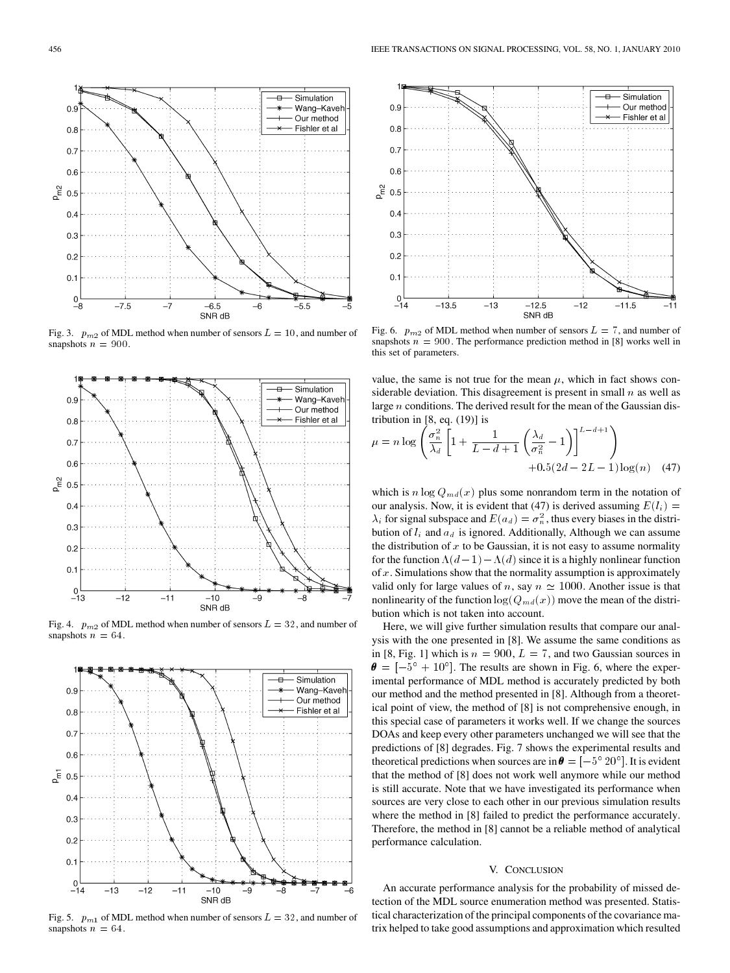Fig. 3.  $p_{m2}$  of MDL method when number of sensors  $L = 10$ , and number of snapshots  $n = 900$ .

 $-6.5$ 

SNR dB

-6

 $-5.5$ 

Simulation

 $-8$ 

-9

Wang-Kavel Our method Fishler et al

 $-7$ 

Simulation

Wang-Kaveh

Our method Fishler et al



 $-10$ 

SNR dB

 $-11$ 



Fig. 5.  $p_{m1}$  of MDL method when number of sensors  $L = 32$ , and number of snapshots  $n = 64$ .



Fig. 6.  $p_{m2}$  of MDL method when number of sensors  $L = 7$ , and number of snapshots  $n = 900$ . The performance prediction method in [8] works well in this set of parameters.

value, the same is not true for the mean  $\mu$ , which in fact shows considerable deviation. This disagreement is present in small  $n$  as well as large  $n$  conditions. The derived result for the mean of the Gaussian distribution in [8, eq. (19)] is

$$
\mu = n \log \left( \frac{\sigma_n^2}{\lambda_d} \left[ 1 + \frac{1}{L - d + 1} \left( \frac{\lambda_d}{\sigma_n^2} - 1 \right) \right]^{L - d + 1} \right) + 0.5(2d - 2L - 1) \log(n) \quad (47)
$$

which is  $n \log Q_{md}(x)$  plus some nonrandom term in the notation of our analysis. Now, it is evident that (47) is derived assuming  $E(l_i) =$  $\lambda_i$  for signal subspace and  $E(a_d) = \sigma_n^2$ , thus every biases in the distribution of  $l_i$  and  $a_d$  is ignored. Additionally, Although we can assume the distribution of  $x$  to be Gaussian, it is not easy to assume normality for the function  $\Lambda(d-1) - \Lambda(d)$  since it is a highly nonlinear function of  $x$ . Simulations show that the normality assumption is approximately valid only for large values of n, say  $n \approx 1000$ . Another issue is that nonlinearity of the function  $log(Q_{md}(x))$  move the mean of the distribution which is not taken into account.

Here, we will give further simulation results that compare our analysis with the one presented in [8]. We assume the same conditions as in [8, Fig. 1] which is  $n = 900, L = 7$ , and two Gaussian sources in  $\theta = \left[-5^{\circ} + 10^{\circ}\right]$ . The results are shown in Fig. 6, where the experimental performance of MDL method is accurately predicted by both our method and the method presented in [8]. Although from a theoretical point of view, the method of [8] is not comprehensive enough, in this special case of parameters it works well. If we change the sources DOAs and keep every other parameters unchanged we will see that the predictions of [8] degrades. Fig. 7 shows the experimental results and theoretical predictions when sources are in  $\theta = \left[-5^{\circ} 20^{\circ}\right]$ . It is evident that the method of [8] does not work well anymore while our method is still accurate. Note that we have investigated its performance when sources are very close to each other in our previous simulation results where the method in [8] failed to predict the performance accurately. Therefore, the method in [8] cannot be a reliable method of analytical performance calculation.

## V. CONCLUSION

An accurate performance analysis for the probability of missed detection of the MDL source enumeration method was presented. Statistical characterization of the principal components of the covariance matrix helped to take good assumptions and approximation which resulted

 $\Omega$ 

 $0.8$ 

 $0.7$ 

 $0.6$ 

 $0.3$  $0.2$ 

 $0.1$ 

 $0.9$ 

 $0.8$  $0.7$  $0.6$ 

 $^{0}_{-13}$ 

 $-12$ 

 $P_{m2}$  $0.5$  $0.4$  $0.3$  $0.2$  $0.1$ 

 $^{0}_{-8}$ 

 $-7.5$ 

 $P_{m2}$  $0.5$  $0.4$